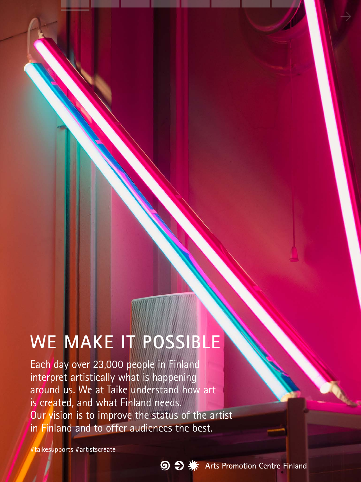# **WE MAKE IT POSSIBLE**

Each day over 23,000 people in Finland interpret artistically what is happening around us. We at Taike understand how art is created, and what Finland needs. Our vision is to improve the status of the artist in Finland and to offer audiences the best.

#taikesupports #artistscreate

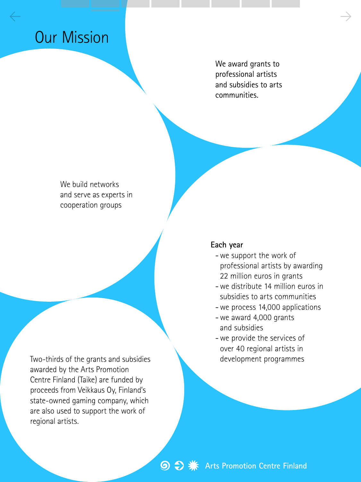## Our Mission

We award grants to professional artists and subsidies to arts communities.

 $\leftarrow$  and the set of the set of the set of the set of the set of the set of the set of the set of the set of the set of the set of the set of the set of the set of the set of the set of the set of the set of the set of th

We build networks and serve as experts in cooperation groups

Two-thirds of the grants and subsidies **development programmes** awarded by the Arts Promotion Centre Finland (Taike) are funded by proceeds from Veikkaus Oy, Finland's state-owned gaming company, which are also used to support the work of regional artists.

#### **Each year**

- -we support the work of professional artists by awarding 22 million euros in grants
- -we distribute 14 million euros in subsidies to arts communities
- -we process 14,000 applications
- -we award 4,000 grants and subsidies
- -we provide the services of over 40 regional artists in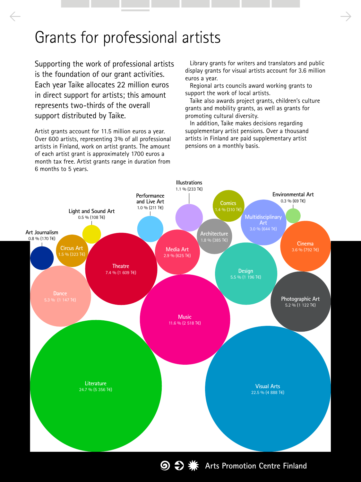### Grants for professional artists

 $\leftarrow$   $\rightarrow$ 

Supporting the work of professional artists is the foundation of our grant activities. Each year Taike allocates 22 million euros in direct support for artists; this amount represents two-thirds of the overall support distributed by Taike.

Artist grants account for 11.5 million euros a year. Over 600 artists, representing 3% of all professional artists in Finland, work on artist grants. The amount of each artist grant is approximately 1700 euros a month tax free. Artist grants range in duration from 6 months to 5 years.

Library grants for writers and translators and public display grants for visual artists account for 3.6 million euros a year.

Regional arts councils award working grants to support the work of local artists.

Taike also awards project grants, children's culture grants and mobility grants, as well as grants for promoting cultural diversity.

In addition, Taike makes decisions regarding supplementary artist pensions. Over a thousand artists in Finland are paid supplementary artist pensions on a monthly basis.

**Arts Promotion Centre Finland** 

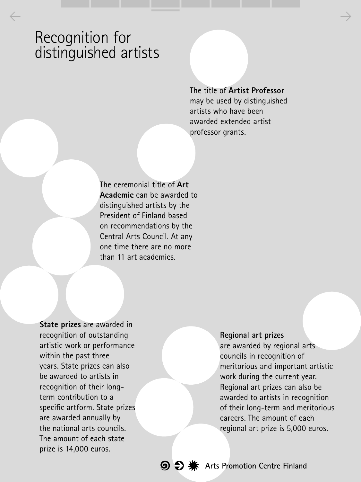### Recognition for distinguished artists

The title of **Artist Professor** may be used by distinguished artists who have been awarded extended artist professor grants.

The ceremonial title of **Art Academic** can be awarded to distinguished artists by the President of Finland based on recommendations by the Central Arts Council. At any one time there are no more than 11 art academics.

 $\leftarrow$  and the set of the set of the set of the set of the set of the set of the set of the set of the set of the set of the set of the set of the set of the set of the set of the set of the set of the set of the set of th

**State prizes** are awarded in recognition of outstanding artistic work or performance within the past three years. State prizes can also be awarded to artists in recognition of their longterm contribution to a specific artform. State prizes are awarded annually by the national arts councils. The amount of each state prize is 14,000 euros.

**Regional art prizes** are awarded by regional arts councils in recognition of meritorious and important artistic work during the current year. Regional art prizes can also be awarded to artists in recognition of their long-term and meritorious careers. The amount of each regional art prize is 5,000 euros.

**Arts Promotion Centre Finland**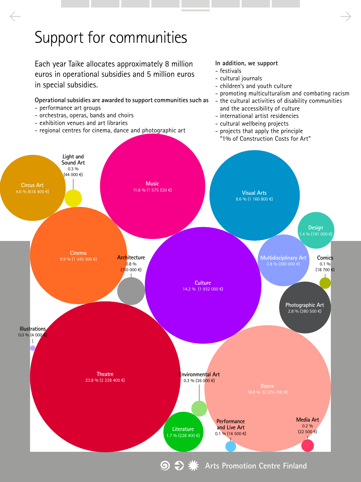## Support for communities

Each year Taike allocates approximately 8 million euros in operational subsidies and 5 million euros in special subsidies.

- regional centres for cinema, dance and photographic art

- performance art groups

- orchestras, operas, bands and choirs - exhibition venues and art libraries

**Operational subsidies are awarded to support communities such as** 

#### **In addition, we support**

- festivals

 $\leftarrow$   $\rightarrow$ 

- cultural journals
- children's and youth culture
- promoting multiculturalism and combating racism
- the cultural activities of disability communities and the accessibility of culture
- international artist residencies
- cultural wellbeing projects
- projects that apply the principle "1% of Construction Costs for Art"



**Arts Promotion Centre Finland** $\odot$   $\ominus$  as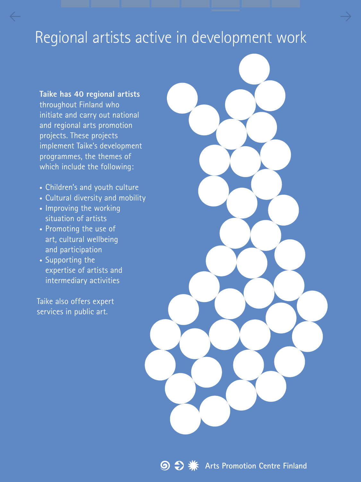## Regional artists active in development work

 $\leftarrow$  and the contract of the contract of the contract of the contract of  $\rightarrow$ 

**Taike has 40 regional artists** throughout Finland who initiate and carry out national and regional arts promotion projects. These projects implement Taike's development programmes, the themes of which include the following:

- Children's and youth culture
- Cultural diversity and mobility
- Improving the working situation of artists
- Promoting the use of art, cultural wellbeing and participation
- Supporting the expertise of artists and intermediary activities

Taike also offers expert services in public art.

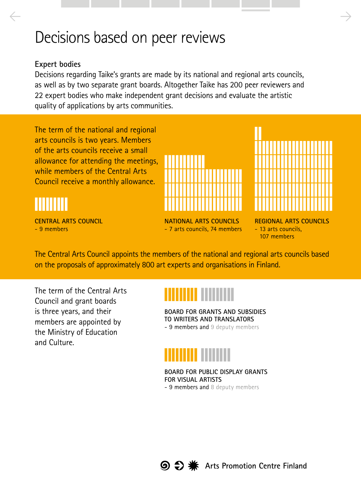### Decisions based on peer reviews

#### **Expert bodies**

Decisions regarding Taike's grants are made by its national and regional arts councils, as well as by two separate grant boards. Altogether Taike has 200 peer reviewers and 22 expert bodies who make independent grant decisions and evaluate the artistic quality of applications by arts communities.

 $\leftarrow$   $\rightarrow$ 

The term of the national and regional arts councils is two years. Members of the arts councils receive a small allowance for attending the meetings, while members of the Central Arts Council receive a monthly allowance.

### <u>•••••••••</u>

**CENTRAL ARTS COUNCIL** - 9 members





- 7 arts councils, 74 members

**REGIONAL ARTS COUNCILS** - 13 arts councils, 107 members

The Central Arts Council appoints the members of the national and regional arts councils based on the proposals of approximately 800 art experts and organisations in Finland.

The term of the Central Arts Council and grant boards is three years, and their members are appointed by the Ministry of Education and Culture.



**BOARD FOR GRANTS AND SUBSIDIES TO WRITERS AND TRANSLATORS** 

- 9 members and 9 deputy members



**BOARD FOR PUBLIC DISPLAY GRANTS FOR VISUAL ARTISTS**

- 9 members and 8 deputy members